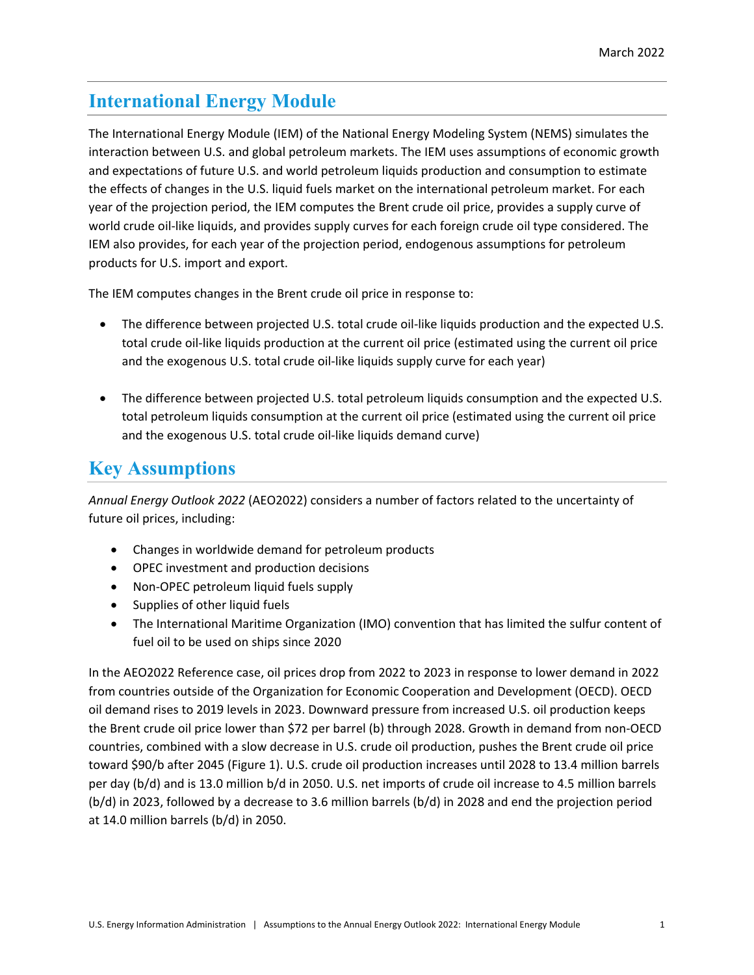## **International Energy Module**

The International Energy Module (IEM) of the National Energy Modeling System (NEMS) simulates the interaction between U.S. and global petroleum markets. The IEM uses assumptions of economic growth and expectations of future U.S. and world petroleum liquids production and consumption to estimate the effects of changes in the U.S. liquid fuels market on the international petroleum market. For each year of the projection period, the IEM computes the Brent crude oil price, provides a supply curve of world crude oil-like liquids, and provides supply curves for each foreign crude oil type considered. The IEM also provides, for each year of the projection period, endogenous assumptions for petroleum products for U.S. import and export.

The IEM computes changes in the Brent crude oil price in response to:

- The difference between projected U.S. total crude oil-like liquids production and the expected U.S. total crude oil-like liquids production at the current oil price (estimated using the current oil price and the exogenous U.S. total crude oil-like liquids supply curve for each year)
- The difference between projected U.S. total petroleum liquids consumption and the expected U.S. total petroleum liquids consumption at the current oil price (estimated using the current oil price and the exogenous U.S. total crude oil-like liquids demand curve)

## **Key Assumptions**

*Annual Energy Outlook 2022* (AEO2022) considers a number of factors related to the uncertainty of future oil prices, including:

- Changes in worldwide demand for petroleum products
- OPEC investment and production decisions
- Non-OPEC petroleum liquid fuels supply
- Supplies of other liquid fuels
- The International Maritime Organization (IMO) convention that has limited the sulfur content of fuel oil to be used on ships since 2020

In the AEO2022 Reference case, oil prices drop from 2022 to 2023 in response to lower demand in 2022 from countries outside of the Organization for Economic Cooperation and Development (OECD). OECD oil demand rises to 2019 levels in 2023. Downward pressure from increased U.S. oil production keeps the Brent crude oil price lower than \$72 per barrel (b) through 2028. Growth in demand from non-OECD countries, combined with a slow decrease in U.S. crude oil production, pushes the Brent crude oil price toward \$90/b after 2045 (Figure 1). U.S. crude oil production increases until 2028 to 13.4 million barrels per day (b/d) and is 13.0 million b/d in 2050. U.S. net imports of crude oil increase to 4.5 million barrels (b/d) in 2023, followed by a decrease to 3.6 million barrels (b/d) in 2028 and end the projection period at 14.0 million barrels (b/d) in 2050.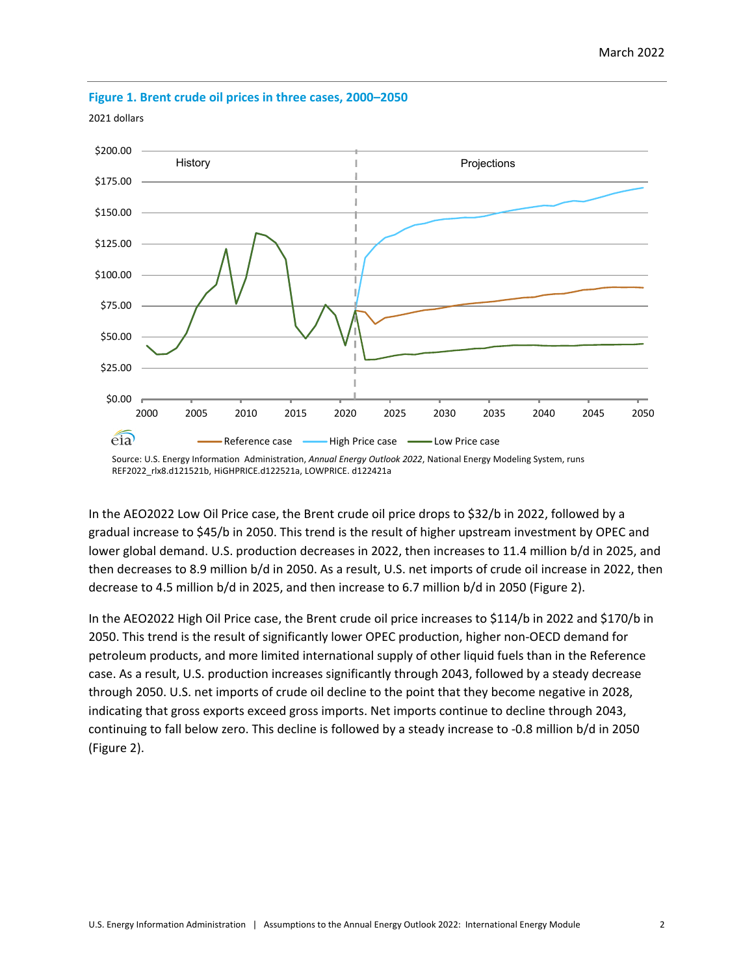

## **Figure 1. Brent crude oil prices in three cases, 2000–2050**

2021 dollars

In the AEO2022 Low Oil Price case, the Brent crude oil price drops to \$32/b in 2022, followed by a gradual increase to \$45/b in 2050. This trend is the result of higher upstream investment by OPEC and lower global demand. U.S. production decreases in 2022, then increases to 11.4 million b/d in 2025, and then decreases to 8.9 million b/d in 2050. As a result, U.S. net imports of crude oil increase in 2022, then decrease to 4.5 million b/d in 2025, and then increase to 6.7 million b/d in 2050 (Figure 2).

In the AEO2022 High Oil Price case, the Brent crude oil price increases to \$114/b in 2022 and \$170/b in 2050. This trend is the result of significantly lower OPEC production, higher non-OECD demand for petroleum products, and more limited international supply of other liquid fuels than in the Reference case. As a result, U.S. production increases significantly through 2043, followed by a steady decrease through 2050. U.S. net imports of crude oil decline to the point that they become negative in 2028, indicating that gross exports exceed gross imports. Net imports continue to decline through 2043, continuing to fall below zero. This decline is followed by a steady increase to -0.8 million b/d in 2050 (Figure 2).

Source: U.S. Energy Information Administration, *Annual Energy Outlook 2022*, National Energy Modeling System, runs REF2022\_rlx8.d121521b, HiGHPRICE.d122521a, LOWPRICE. d122421a